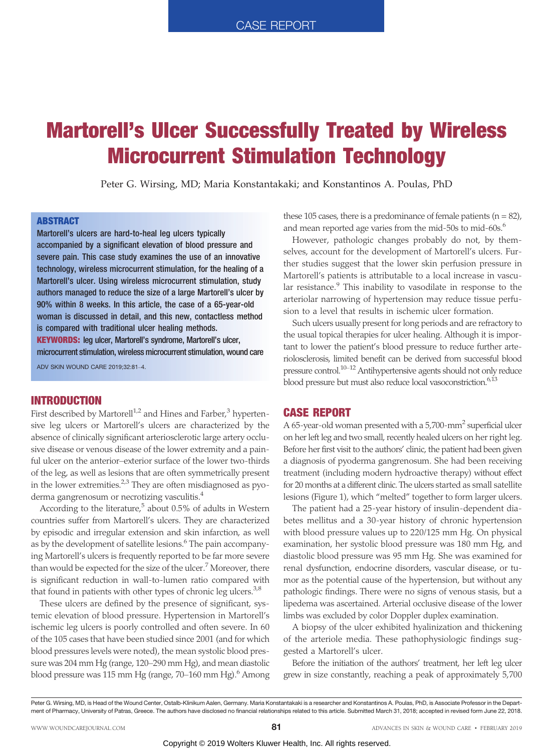# Martorell's Ulcer Successfully Treated by Wireless Microcurrent Stimulation Technology

Peter G. Wirsing, MD; Maria Konstantakaki; and Konstantinos A. Poulas, PhD

#### **ABSTRACT**

Martorell's ulcers are hard-to-heal leg ulcers typically accompanied by a significant elevation of blood pressure and severe pain. This case study examines the use of an innovative technology, wireless microcurrent stimulation, for the healing of a Martorell's ulcer. Using wireless microcurrent stimulation, study authors managed to reduce the size of a large Martorell's ulcer by 90% within 8 weeks. In this article, the case of a 65-year-old woman is discussed in detail, and this new, contactless method is compared with traditional ulcer healing methods. KEYWORDS: leg ulcer, Martorell's syndrome, Martorell's ulcer, microcurrent stimulation, wireless microcurrent stimulation, wound care

 $ADV$  SKIN WOUND CARE 2019:32:81 $-4$ 

# INTRODUCTION

First described by Martorell<sup>1,2</sup> and Hines and Farber,<sup>3</sup> hypertensive leg ulcers or Martorell's ulcers are characterized by the absence of clinically significant arteriosclerotic large artery occlusive disease or venous disease of the lower extremity and a painful ulcer on the anterior-exterior surface of the lower two-thirds of the leg, as well as lesions that are often symmetrically present in the lower extremities.<sup>2,3</sup> They are often misdiagnosed as pyoderma gangrenosum or necrotizing vasculitis.<sup>4</sup>

According to the literature, $5$  about 0.5% of adults in Western countries suffer from Martorell's ulcers. They are characterized by episodic and irregular extension and skin infarction, as well as by the development of satellite lesions.<sup>6</sup> The pain accompanying Martorell's ulcers is frequently reported to be far more severe than would be expected for the size of the ulcer.<sup>7</sup> Moreover, there is significant reduction in wall-to-lumen ratio compared with that found in patients with other types of chronic leg ulcers. $3,8$ 

These ulcers are defined by the presence of significant, systemic elevation of blood pressure. Hypertension in Martorell's ischemic leg ulcers is poorly controlled and often severe. In 60 of the 105 cases that have been studied since 2001 (and for which blood pressures levels were noted), the mean systolic blood pressure was 204 mm Hg (range, 120-290 mm Hg), and mean diastolic blood pressure was 115 mm Hg (range, 70–160 mm Hg). $^6$  Among these 105 cases, there is a predominance of female patients  $(n = 82)$ , and mean reported age varies from the mid-50s to mid-60s.<sup>6</sup>

However, pathologic changes probably do not, by themselves, account for the development of Martorell's ulcers. Further studies suggest that the lower skin perfusion pressure in Martorell's patients is attributable to a local increase in vascular resistance.<sup>9</sup> This inability to vasodilate in response to the arteriolar narrowing of hypertension may reduce tissue perfusion to a level that results in ischemic ulcer formation.

Such ulcers usually present for long periods and are refractory to the usual topical therapies for ulcer healing. Although it is important to lower the patient's blood pressure to reduce further arteriolosclerosis, limited benefit can be derived from successful blood pressure control.<sup>10-12</sup> Antihypertensive agents should not only reduce blood pressure but must also reduce local vasoconstriction.<sup>6,13</sup>

#### CASE REPORT

A 65-year-old woman presented with a  $5,700$ -mm<sup>2</sup> superficial ulcer on her left leg and two small, recently healed ulcers on her right leg. Before her first visit to the authors' clinic, the patient had been given a diagnosis of pyoderma gangrenosum. She had been receiving treatment (including modern hydroactive therapy) without effect for 20 months at a different clinic. The ulcers started as small satellite lesions (Figure 1), which "melted" together to form larger ulcers.

The patient had a 25-year history of insulin-dependent diabetes mellitus and a 30-year history of chronic hypertension with blood pressure values up to 220/125 mm Hg. On physical examination, her systolic blood pressure was 180 mm Hg, and diastolic blood pressure was 95 mm Hg. She was examined for renal dysfunction, endocrine disorders, vascular disease, or tumor as the potential cause of the hypertension, but without any pathologic findings. There were no signs of venous stasis, but a lipedema was ascertained. Arterial occlusive disease of the lower limbs was excluded by color Doppler duplex examination.

A biopsy of the ulcer exhibited hyalinization and thickening of the arteriole media. These pathophysiologic findings suggested a Martorell's ulcer.

Before the initiation of the authors' treatment, her left leg ulcer grew in size constantly, reaching a peak of approximately 5,700

Peter G. Wirsing, MD, is Head of the Wound Center, Ostalb-Klinikum Aalen, Germany. Maria Konstantakaki is a researcher and Konstantinos A. Poulas, PhD, is Associate Professor in the Department of Pharmacy, University of Patras, Greece. The authors have disclosed no financial relationships related to this article. Submitted March 31, 2018; accepted in revised form June 22, 2018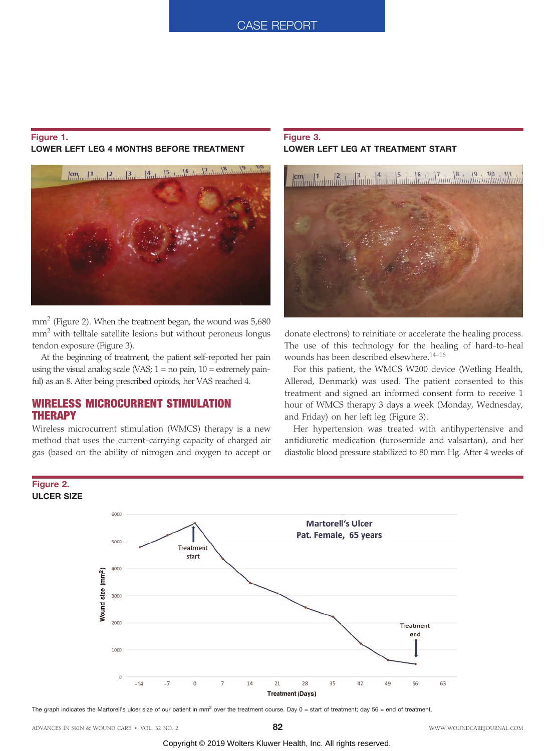## Figure 1. LOWER LEFT LEG 4 MONTHS BEFORE TREATMENT



mm<sup>2</sup> (Figure 2). When the treatment began, the wound was 5,680 mm2 with telltale satellite lesions but without peroneus longus tendon exposure (Figure 3).

At the beginning of treatment, the patient self-reported her pain using the visual analog scale (VAS;  $1 =$  no pain,  $10 =$  extremely painful) as an 8. After being prescribed opioids, her VAS reached 4.

# WIRELESS MICROCURRENT STIMULATION THERAPY

Figure 2.

Wireless microcurrent stimulation (WMCS) therapy is a new method that uses the current-carrying capacity of charged air gas (based on the ability of nitrogen and oxygen to accept or

# Figure 3. LOWER LEFT LEG AT TREATMENT START



donate electrons) to reinitiate or accelerate the healing process. The use of this technology for the healing of hard-to-heal wounds has been described elsewhere.<sup>14-16</sup>

For this patient, the WMCS W200 device (Wetling Health, Allerød, Denmark) was used. The patient consented to this treatment and signed an informed consent form to receive 1 hour of WMCS therapy 3 days a week (Monday, Wednesday, and Friday) on her left leg (Figure 3).

Her hypertension was treated with antihypertensive and antidiuretic medication (furosemide and valsartan), and her diastolic blood pressure stabilized to 80 mm Hg. After 4 weeks of



The graph indicates the Martorell's ulcer size of our patient in mm<sup>2</sup> over the treatment course. Day  $0 =$  start of treatment; day  $56 =$  end of treatment.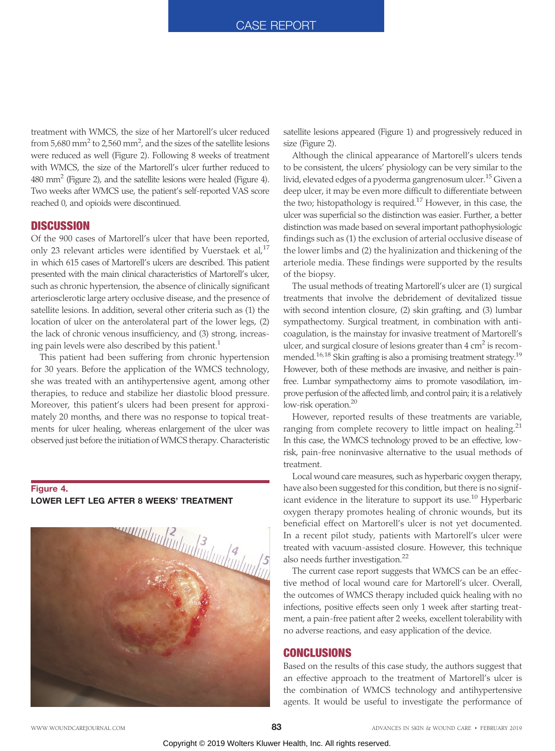treatment with WMCS, the size of her Martorell's ulcer reduced from 5,680 mm $^2$  to 2,560 mm $^2$ , and the sizes of the satellite lesions were reduced as well (Figure 2). Following 8 weeks of treatment with WMCS, the size of the Martorell's ulcer further reduced to  $480$  mm<sup>2</sup> (Figure 2), and the satellite lesions were healed (Figure 4). Two weeks after WMCS use, the patient's self-reported VAS score reached 0, and opioids were discontinued.

## **DISCUSSION**

Of the 900 cases of Martorell's ulcer that have been reported, only 23 relevant articles were identified by Vuerstaek et al, $^{17}$ in which 615 cases of Martorell's ulcers are described. This patient presented with the main clinical characteristics of Martorell's ulcer, such as chronic hypertension, the absence of clinically significant arteriosclerotic large artery occlusive disease, and the presence of satellite lesions. In addition, several other criteria such as (1) the location of ulcer on the anterolateral part of the lower legs, (2) the lack of chronic venous insufficiency, and (3) strong, increasing pain levels were also described by this patient.<sup>1</sup>

This patient had been suffering from chronic hypertension for 30 years. Before the application of the WMCS technology, she was treated with an antihypertensive agent, among other therapies, to reduce and stabilize her diastolic blood pressure. Moreover, this patient's ulcers had been present for approximately 20 months, and there was no response to topical treatments for ulcer healing, whereas enlargement of the ulcer was observed just before the initiation of WMCS therapy. Characteristic

## Figure 4. LOWER LEFT LEG AFTER 8 WEEKS' TREATMENT



satellite lesions appeared (Figure 1) and progressively reduced in size (Figure 2).

Although the clinical appearance of Martorell's ulcers tends to be consistent, the ulcers' physiology can be very similar to the livid, elevated edges of a pyoderma gangrenosum ulcer.<sup>15</sup> Given a deep ulcer, it may be even more difficult to differentiate between the two; histopathology is required.17 However, in this case, the ulcer was superficial so the distinction was easier. Further, a better distinction was made based on several important pathophysiologic findings such as (1) the exclusion of arterial occlusive disease of the lower limbs and (2) the hyalinization and thickening of the arteriole media. These findings were supported by the results of the biopsy.

The usual methods of treating Martorell's ulcer are (1) surgical treatments that involve the debridement of devitalized tissue with second intention closure, (2) skin grafting, and (3) lumbar sympathectomy. Surgical treatment, in combination with anticoagulation, is the mainstay for invasive treatment of Martorell's ulcer, and surgical closure of lesions greater than  $4 \text{ cm}^2$  is recommended.<sup>16,18</sup> Skin grafting is also a promising treatment strategy.<sup>19</sup> However, both of these methods are invasive, and neither is painfree. Lumbar sympathectomy aims to promote vasodilation, improve perfusion of the affected limb, and control pain; it is a relatively low-risk operation.<sup>20</sup>

However, reported results of these treatments are variable, ranging from complete recovery to little impact on healing. $21$ In this case, the WMCS technology proved to be an effective, lowrisk, pain-free noninvasive alternative to the usual methods of treatment.

Local wound care measures, such as hyperbaric oxygen therapy, have also been suggested for this condition, but there is no significant evidence in the literature to support its use.<sup>10</sup> Hyperbaric oxygen therapy promotes healing of chronic wounds, but its beneficial effect on Martorell's ulcer is not yet documented. In a recent pilot study, patients with Martorell's ulcer were treated with vacuum-assisted closure. However, this technique also needs further investigation.<sup>22</sup>

The current case report suggests that WMCS can be an effective method of local wound care for Martorell's ulcer. Overall, the outcomes of WMCS therapy included quick healing with no infections, positive effects seen only 1 week after starting treatment, a pain-free patient after 2 weeks, excellent tolerability with no adverse reactions, and easy application of the device.

## **CONCLUSIONS**

Based on the results of this case study, the authors suggest that an effective approach to the treatment of Martorell's ulcer is the combination of WMCS technology and antihypertensive agents. It would be useful to investigate the performance of